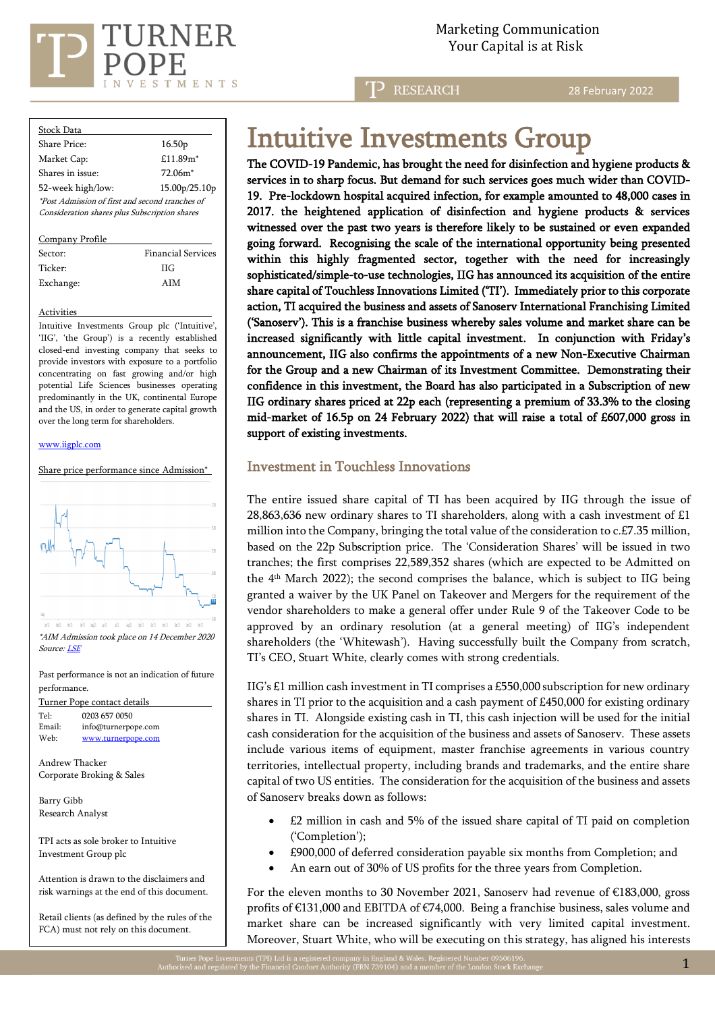

TD RESEARCH

28 February 2022

| <b>Stock Data</b>                                      |                    |  |  |  |  |
|--------------------------------------------------------|--------------------|--|--|--|--|
| Share Price:                                           | 16.50 <sub>p</sub> |  |  |  |  |
| Market Cap:                                            | £11.89 $m^*$       |  |  |  |  |
| Shares in issue:                                       | $72.06m*$          |  |  |  |  |
| 52-week high/low:                                      | 15.00p/25.10p      |  |  |  |  |
| <i>*Post Admission of first and second tranches of</i> |                    |  |  |  |  |
| Consideration shares plus Subscription shares          |                    |  |  |  |  |

#### Company Profile

| Sector:   | <b>Financial Services</b> |
|-----------|---------------------------|
| Ticker:   | НG                        |
| Exchange: | AIM                       |

#### Activities

Intuitive Investments Group plc ('Intuitive', 'IIG', 'the Group') is a recently established closed-end investing company that seeks to provide investors with exposure to a portfolio concentrating on fast growing and/or high potential Life Sciences businesses operating predominantly in the UK, continental Europe and the US, in order to generate capital growth over the long term for shareholders.

#### [www.iigplc.com](http://www.iigplc.com/)

Share price performance since Admission\*



Past performance is not an indication of future performance.

Turner Pope contact details Tel: [0203](tel:0203) 657 0050 Email: [info@turnerpope.com](mailto:info@turnerpope.com) Web: [www.turnerpope.com](http://www.turnerpope.com/)

Andrew Thacker Corporate Broking & Sales

Barry Gibb Research Analyst

TPI acts as sole broker to Intuitive Investment Group plc

Attention is drawn to the disclaimers and risk warnings at the end of this document.

Retail clients (as defined by the rules of the FCA) must not rely on this document.

# Intuitive Investments Group

The COVID-19 Pandemic, has brought the need for disinfection and hygiene products & services in to sharp focus. But demand for such services goes much wider than COVID-19. Pre-lockdown hospital acquired infection, for example amounted to 48,000 cases in 2017. the heightened application of disinfection and hygiene products & services witnessed over the past two years is therefore likely to be sustained or even expanded going forward. Recognising the scale of the international opportunity being presented within this highly fragmented sector, together with the need for increasingly sophisticated/simple-to-use technologies, IIG has announced its acquisition of the entire share capital of Touchless Innovations Limited ('TI'). Immediately prior to this corporate action, TI acquired the business and assets of Sanoserv International Franchising Limited ('Sanoserv'). This is a franchise business whereby sales volume and market share can be increased significantly with little capital investment. In conjunction with Friday's announcement, IIG also confirms the appointments of a new Non-Executive Chairman for the Group and a new Chairman of its Investment Committee. Demonstrating their confidence in this investment, the Board has also participated in a Subscription of new IIG ordinary shares priced at 22p each (representing a premium of 33.3% to the closing mid-market of 16.5p on 24 February 2022) that will raise a total of £607,000 gross in support of existing investments.

## Investment in Touchless Innovations

The entire issued share capital of TI has been acquired by IIG through the issue of 28,863,636 new ordinary shares to TI shareholders, along with a cash investment of £1 million into the Company, bringing the total value of the consideration to c.£7.35 million, based on the 22p Subscription price. The 'Consideration Shares' will be issued in two tranches; the first comprises 22,589,352 shares (which are expected to be Admitted on the  $4<sup>th</sup>$  March 2022); the second comprises the balance, which is subject to IIG being granted a waiver by the UK Panel on Takeover and Mergers for the requirement of the vendor shareholders to make a general offer under Rule 9 of the Takeover Code to be approved by an ordinary resolution (at a general meeting) of IIG's independent shareholders (the 'Whitewash'). Having successfully built the Company from scratch, TI's CEO, Stuart White, clearly comes with strong credentials.

IIG's £1 million cash investment in TI comprises a £550,000 subscription for new ordinary shares in TI prior to the acquisition and a cash payment of £450,000 for existing ordinary shares in TI. Alongside existing cash in TI, this cash injection will be used for the initial cash consideration for the acquisition of the business and assets of Sanoserv. These assets include various items of equipment, master franchise agreements in various country territories, intellectual property, including brands and trademarks, and the entire share capital of two US entities. The consideration for the acquisition of the business and assets of Sanoserv breaks down as follows:

- £2 million in cash and 5% of the issued share capital of TI paid on completion ('Completion');
- £900,000 of deferred consideration payable six months from Completion; and
- An earn out of 30% of US profits for the three years from Completion.

For the eleven months to 30 November 2021, Sanoserv had revenue of €183,000, gross profits of €131,000 and EBITDA of €74,000. Being a franchise business, sales volume and market share can be increased significantly with very limited capital investment. Moreover, Stuart White, who will be executing on this strategy, has aligned his interests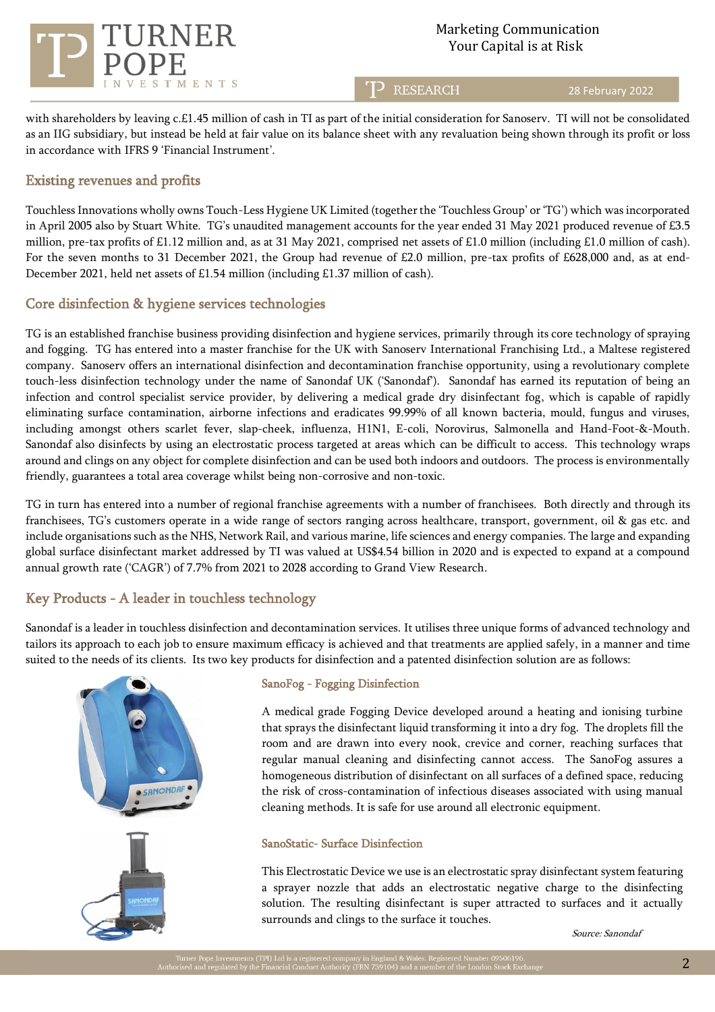

T<sub>2</sub> RESEARCH

28 February 2022

with shareholders by leaving c.£1.45 million of cash in TI as part of the initial consideration for Sanoserv. TI will not be consolidated as an IIG subsidiary, but instead be held at fair value on its balance sheet with any revaluation being shown through its profit or loss in accordance with IFRS 9 'Financial Instrument'.

## Existing revenues and profits

Touchless Innovations wholly owns Touch-Less Hygiene UK Limited (together the 'Touchless Group' or 'TG') which was incorporated in April 2005 also by Stuart White. TG's unaudited management accounts for the year ended 31 May 2021 produced revenue of £3.5 million, pre-tax profits of £1.12 million and, as at 31 May 2021, comprised net assets of £1.0 million (including £1.0 million of cash). For the seven months to 31 December 2021, the Group had revenue of £2.0 million, pre-tax profits of £628,000 and, as at end-December 2021, held net assets of £1.54 million (including £1.37 million of cash).

## Core disinfection & hygiene services technologies

TG is an established franchise business providing disinfection and hygiene services, primarily through its core technology of spraying and fogging. TG has entered into a master franchise for the UK with Sanoserv International Franchising Ltd., a Maltese registered company. Sanoserv offers an international disinfection and decontamination franchise opportunity, using a revolutionary complete touch-less disinfection technology under the name of Sanondaf UK ('Sanondaf'). Sanondaf has earned its reputation of being an infection and control specialist service provider, by delivering a medical grade dry disinfectant fog, which is capable of rapidly eliminating surface contamination, airborne infections and eradicates 99.99% of all known bacteria, mould, fungus and viruses, including amongst others scarlet fever, slap-cheek, influenza, H1N1, E-coli, Norovirus, Salmonella and Hand-Foot-&-Mouth. Sanondaf also disinfects by using an electrostatic process targeted at areas which can be difficult to access. This technology wraps around and clings on any object for complete disinfection and can be used both indoors and outdoors. The process is environmentally friendly, guarantees a total area coverage whilst being non-corrosive and non-toxic.

TG in turn has entered into a number of regional franchise agreements with a number of franchisees. Both directly and through its franchisees, TG's customers operate in a wide range of sectors ranging across healthcare, transport, government, oil & gas etc. and include organisations such as the NHS, Network Rail, and various marine, life sciences and energy companies. The large and expanding global surface disinfectant market addressed by TI was valued at US\$4.54 billion in 2020 and is expected to expand at a compound annual growth rate ('CAGR') of 7.7% from 2021 to 2028 according to Grand View Research.

## Key Products - A leader in touchless technology

Sanondaf is a leader in touchless disinfection and decontamination services. It utilises three unique forms of advanced technology and tailors its approach to each job to ensure maximum efficacy is achieved and that treatments are applied safely, in a manner and time suited to the needs of its clients. Its two key products for disinfection and a patented disinfection solution are as follows:



#### SanoFog - Fogging Disinfection

A medical grade Fogging Device developed around a heating and ionising turbine that sprays the disinfectant liquid transforming it into a dry fog. The droplets fill the room and are drawn into every nook, crevice and corner, reaching surfaces that regular manual cleaning and disinfecting cannot access. The SanoFog assures a homogeneous distribution of disinfectant on all surfaces of a defined space, reducing the risk of cross-contamination of infectious diseases associated with using manual cleaning methods. It is safe for use around all electronic equipment.

#### SanoStatic- Surface Disinfection

This Electrostatic Device we use is an electrostatic spray disinfectant system featuring a sprayer nozzle that adds an electrostatic negative charge to the disinfecting solution. The resulting disinfectant is super attracted to surfaces and it actually surrounds and clings to the surface it touches.

Source: Sanondaf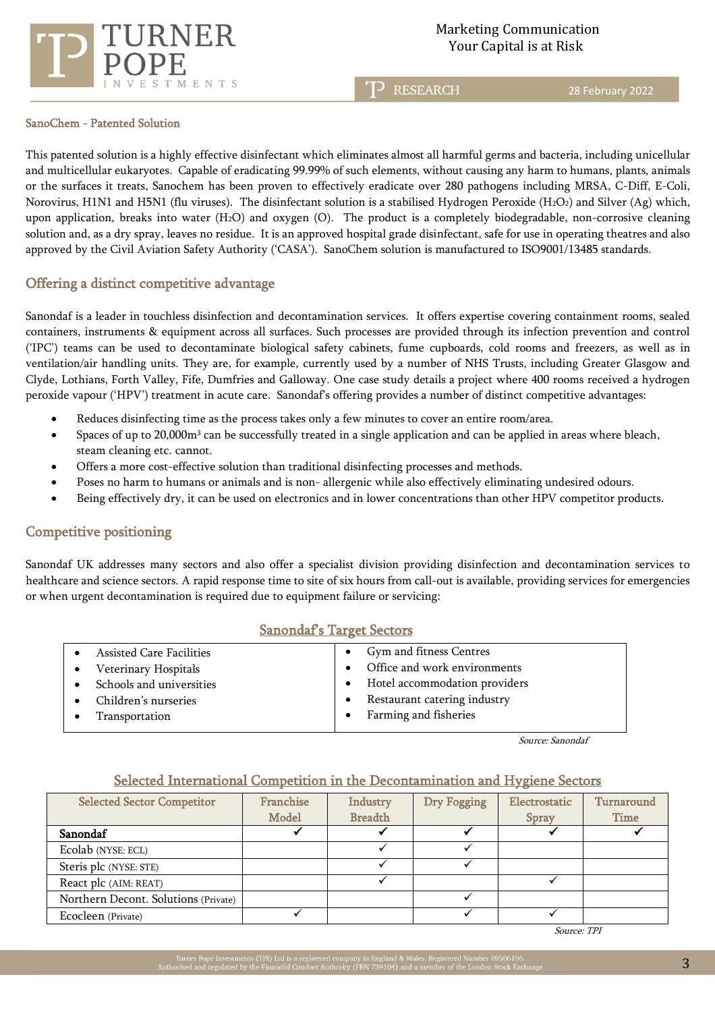

TD RESEARCH

#### SanoChem - Patented Solution

This patented solution is a highly effective disinfectant which eliminates almost all harmful germs and bacteria, including unicellular and multicellular eukaryotes. Capable of eradicating 99.99% of such elements, without causing any harm to humans, plants, animals or the surfaces it treats, Sanochem has been proven to effectively eradicate over 280 pathogens including MRSA, C-Diff, E-Coli, Norovirus, H1N1 and H5N1 (flu viruses). The disinfectant solution is a stabilised Hydrogen Peroxide (H2O2) and Silver (Ag) which, upon application, breaks into water  $(H_2O)$  and oxygen  $(O)$ . The product is a completely biodegradable, non-corrosive cleaning solution and, as a dry spray, leaves no residue. It is an approved hospital grade disinfectant, safe for use in operating theatres and also approved by the Civil Aviation Safety Authority ('CASA'). SanoChem solution is manufactured to ISO9001/13485 standards.

#### Offering a distinct competitive advantage

Sanondaf is a leader in touchless disinfection and decontamination services. It offers expertise covering containment rooms, sealed containers, instruments & equipment across all surfaces. Such processes are provided through its infection prevention and control ('IPC') teams can be used to decontaminate biological safety cabinets, fume cupboards, cold rooms and freezers, as well as in ventilation/air handling units. They are, for example, currently used by a number of NHS Trusts, including Greater Glasgow and Clyde, Lothians, Forth Valley, Fife, Dumfries and Galloway. One case study details a project where 400 rooms received a hydrogen peroxide vapour ('HPV') treatment in acute care. Sanondaf's offering provides a number of distinct competitive advantages:

- Reduces disinfecting time as the process takes only a few minutes to cover an entire room/area.
- Spaces of up to  $20,000m^3$  can be successfully treated in a single application and can be applied in areas where bleach, steam cleaning etc. cannot.
- Offers a more cost-effective solution than traditional disinfecting processes and methods.
- Poses no harm to humans or animals and is non- allergenic while also effectively eliminating undesired odours.
- Being effectively dry, it can be used on electronics and in lower concentrations than other HPV competitor products.

## Competitive positioning

Sanondaf UK addresses many sectors and also offer a specialist division providing disinfection and decontamination services to healthcare and science sectors. A rapid response time to site of six hours from call-out is available, providing services for emergencies or when urgent decontamination is required due to equipment failure or servicing:

| <b>DUMONUME D'IGLECT DECEDIO</b> |  |                               |  |  |  |  |  |
|----------------------------------|--|-------------------------------|--|--|--|--|--|
| <b>Assisted Care Facilities</b>  |  | Gym and fitness Centres       |  |  |  |  |  |
| Veterinary Hospitals             |  | Office and work environments  |  |  |  |  |  |
| Schools and universities         |  | Hotel accommodation providers |  |  |  |  |  |
| Children's nurseries             |  | Restaurant catering industry  |  |  |  |  |  |
| Transportation                   |  | Farming and fisheries         |  |  |  |  |  |
|                                  |  |                               |  |  |  |  |  |

## Sanondaf's Target Sectors

Source: Sanondaf

#### Selected International Competition in the Decontamination and Hygiene Sectors

| <b>Selected Sector Competitor</b>    | Franchise | Industry<br>Dry Fogging |  | Electrostatic | Turnaround  |
|--------------------------------------|-----------|-------------------------|--|---------------|-------------|
|                                      | Model     | <b>Breadth</b>          |  | <b>Spray</b>  | <b>Time</b> |
| Sanondaf                             |           |                         |  |               |             |
| Ecolab (NYSE: ECL)                   |           |                         |  |               |             |
| Steris plc (NYSE: STE)               |           |                         |  |               |             |
| React plc (AIM: REAT)                |           |                         |  |               |             |
| Northern Decont. Solutions (Private) |           |                         |  |               |             |
| Ecocleen (Private)                   |           |                         |  |               |             |

Source: TPI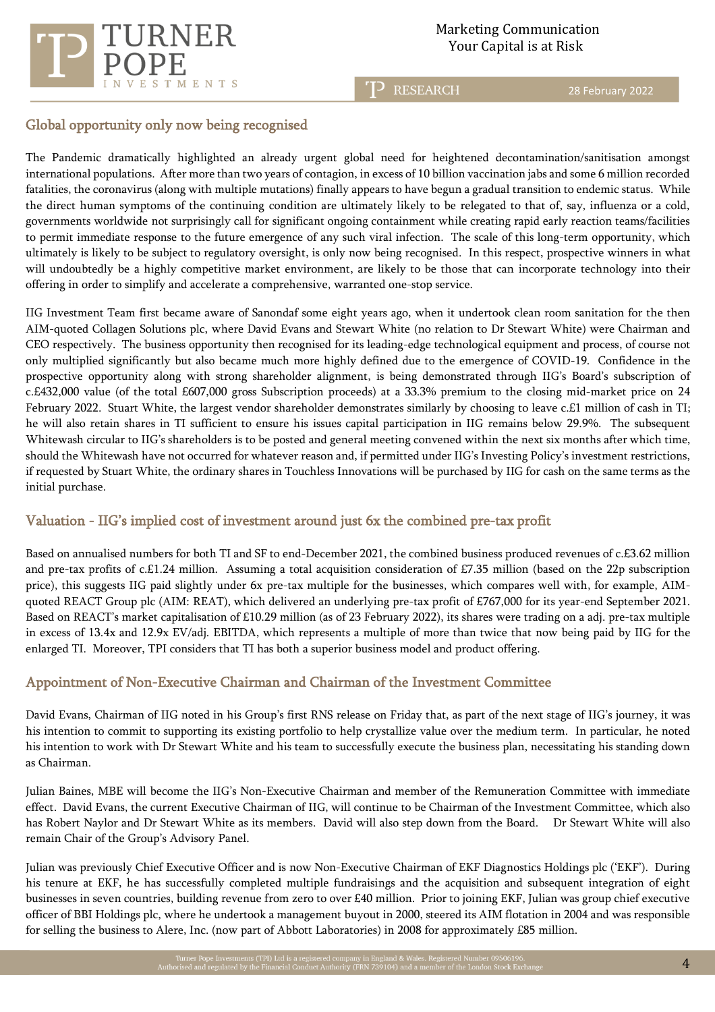

RESEARCH כדי

28 February 2022

# Global opportunity only now being recognised

The Pandemic dramatically highlighted an already urgent global need for heightened decontamination/sanitisation amongst international populations. After more than two years of contagion, in excess of 10 billion vaccination jabs and some 6 million recorded fatalities, the coronavirus (along with multiple mutations) finally appears to have begun a gradual transition to endemic status. While the direct human symptoms of the continuing condition are ultimately likely to be relegated to that of, say, influenza or a cold, governments worldwide not surprisingly call for significant ongoing containment while creating rapid early reaction teams/facilities to permit immediate response to the future emergence of any such viral infection. The scale of this long-term opportunity, which ultimately is likely to be subject to regulatory oversight, is only now being recognised. In this respect, prospective winners in what will undoubtedly be a highly competitive market environment, are likely to be those that can incorporate technology into their offering in order to simplify and accelerate a comprehensive, warranted one-stop service.

IIG Investment Team first became aware of Sanondaf some eight years ago, when it undertook clean room sanitation for the then AIM-quoted Collagen Solutions plc, where David Evans and Stewart White (no relation to Dr Stewart White) were Chairman and CEO respectively. The business opportunity then recognised for its leading-edge technological equipment and process, of course not only multiplied significantly but also became much more highly defined due to the emergence of COVID-19. Confidence in the prospective opportunity along with strong shareholder alignment, is being demonstrated through IIG's Board's subscription of c.£432,000 value (of the total £607,000 gross Subscription proceeds) at a 33.3% premium to the closing mid-market price on 24 February 2022. Stuart White, the largest vendor shareholder demonstrates similarly by choosing to leave c.£1 million of cash in TI; he will also retain shares in TI sufficient to ensure his issues capital participation in IIG remains below 29.9%. The subsequent Whitewash circular to IIG's shareholders is to be posted and general meeting convened within the next six months after which time, should the Whitewash have not occurred for whatever reason and, if permitted under IIG's Investing Policy's investment restrictions, if requested by Stuart White, the ordinary shares in Touchless Innovations will be purchased by IIG for cash on the same terms as the initial purchase.

# Valuation - IIG's implied cost of investment around just 6x the combined pre-tax profit

Based on annualised numbers for both TI and SF to end-December 2021, the combined business produced revenues of c.£3.62 million and pre-tax profits of c.£1.24 million. Assuming a total acquisition consideration of £7.35 million (based on the 22p subscription price), this suggests IIG paid slightly under 6x pre-tax multiple for the businesses, which compares well with, for example, AIMquoted REACT Group plc (AIM: REAT), which delivered an underlying pre-tax profit of £767,000 for its year-end September 2021. Based on REACT's market capitalisation of £10.29 million (as of 23 February 2022), its shares were trading on a adj. pre-tax multiple in excess of 13.4x and 12.9x EV/adj. EBITDA, which represents a multiple of more than twice that now being paid by IIG for the enlarged TI. Moreover, TPI considers that TI has both a superior business model and product offering.

## Appointment of Non-Executive Chairman and Chairman of the Investment Committee

David Evans, Chairman of IIG noted in his Group's first RNS release on Friday that, as part of the next stage of IIG's journey, it was his intention to commit to supporting its existing portfolio to help crystallize value over the medium term. In particular, he noted his intention to work with Dr Stewart White and his team to successfully execute the business plan, necessitating his standing down as Chairman.

Julian Baines, MBE will become the IIG's Non-Executive Chairman and member of the Remuneration Committee with immediate effect. David Evans, the current Executive Chairman of IIG, will continue to be Chairman of the Investment Committee, which also has Robert Naylor and Dr Stewart White as its members. David will also step down from the Board. Dr Stewart White will also remain Chair of the Group's Advisory Panel.

Julian was previously Chief Executive Officer and is now Non-Executive Chairman of EKF Diagnostics Holdings plc ('EKF'). During his tenure at EKF, he has successfully completed multiple fundraisings and the acquisition and subsequent integration of eight businesses in seven countries, building revenue from zero to over £40 million. Prior to joining EKF, Julian was group chief executive officer of BBI Holdings plc, where he undertook a management buyout in 2000, steered its AIM flotation in 2004 and was responsible for selling the business to Alere, Inc. (now part of Abbott Laboratories) in 2008 for approximately £85 million.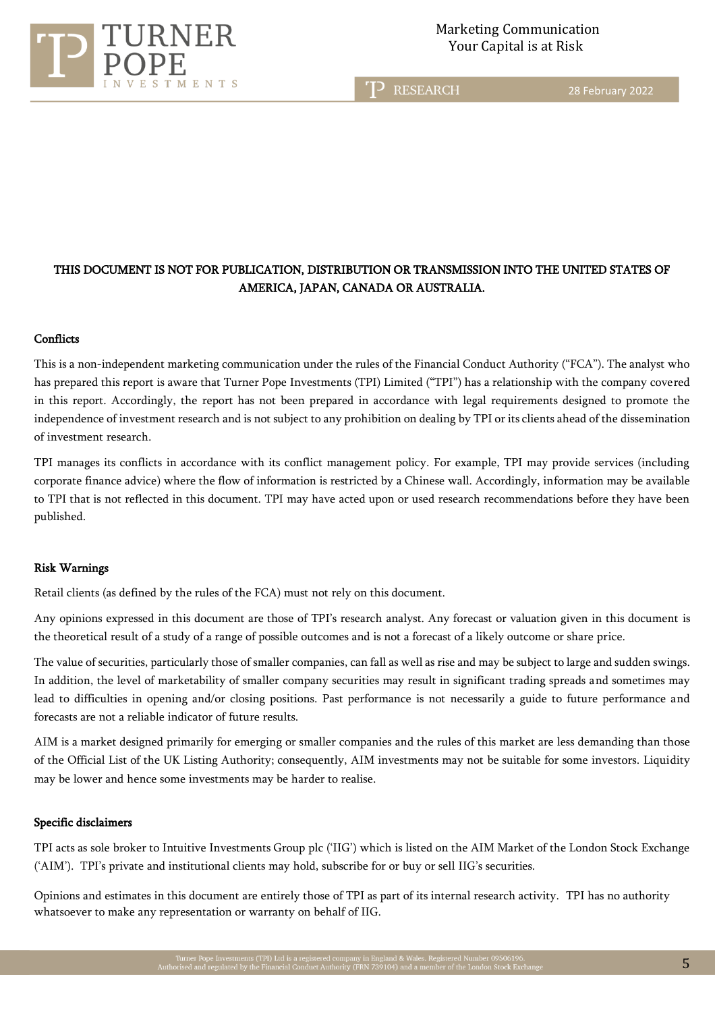

T<sup>2</sup> RESEARCH

28 February 2022

# THIS DOCUMENT IS NOT FOR PUBLICATION, DISTRIBUTION OR TRANSMISSION INTO THE UNITED STATES OF AMERICA, JAPAN, CANADA OR AUSTRALIA.

#### **Conflicts**

This is a non-independent marketing communication under the rules of the Financial Conduct Authority ("FCA"). The analyst who has prepared this report is aware that Turner Pope Investments (TPI) Limited ("TPI") has a relationship with the company covered in this report. Accordingly, the report has not been prepared in accordance with legal requirements designed to promote the independence of investment research and is not subject to any prohibition on dealing by TPI or its clients ahead of the dissemination of investment research.

TPI manages its conflicts in accordance with its conflict management policy. For example, TPI may provide services (including corporate finance advice) where the flow of information is restricted by a Chinese wall. Accordingly, information may be available to TPI that is not reflected in this document. TPI may have acted upon or used research recommendations before they have been published.

#### Risk Warnings

Retail clients (as defined by the rules of the FCA) must not rely on this document.

Any opinions expressed in this document are those of TPI's research analyst. Any forecast or valuation given in this document is the theoretical result of a study of a range of possible outcomes and is not a forecast of a likely outcome or share price.

The value of securities, particularly those of smaller companies, can fall as well as rise and may be subject to large and sudden swings. In addition, the level of marketability of smaller company securities may result in significant trading spreads and sometimes may lead to difficulties in opening and/or closing positions. Past performance is not necessarily a guide to future performance and forecasts are not a reliable indicator of future results.

AIM is a market designed primarily for emerging or smaller companies and the rules of this market are less demanding than those of the Official List of the UK Listing Authority; consequently, AIM investments may not be suitable for some investors. Liquidity may be lower and hence some investments may be harder to realise.

#### Specific disclaimers

TPI acts as sole broker to Intuitive Investments Group plc ('IIG') which is listed on the AIM Market of the London Stock Exchange ('AIM'). TPI's private and institutional clients may hold, subscribe for or buy or sell IIG's securities.

Opinions and estimates in this document are entirely those of TPI as part of its internal research activity. TPI has no authority whatsoever to make any representation or warranty on behalf of IIG.